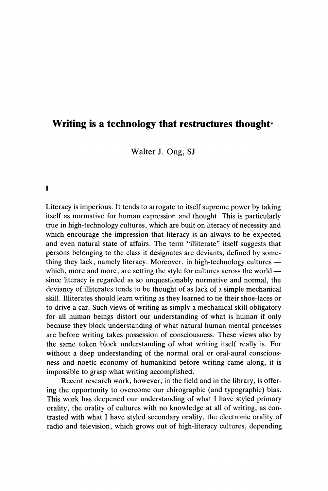# Writing is a technology that restructures thought $*$

Walter J. Ong, SJ

#### $\mathbf{I}$

Literacy is imperious. It tends to arrogate to itself supreme power by taking itself as normative for human expression and thought. This is particularly true in high-technology cultures, which are built on literacy of necessity and which encourage the impression that literacy is an always to be expected and even natural state of affairs. The term "illiterate" itself suggests that persons belonging to the class it designates are deviants, defined by something they lack, namely literacy. Moreover, in high-technology cultures which, more and more, are setting the style for cultures across the world since literacy is regarded as so unquestionably normative and normal, the deviancy of illiterates tends to be thought of as lack of a simple mechanical skill. Illiterates should learn writing as they learned to tie their shoe-laces or to drive a car. Such views of writing as simply a mechanical skill obligatory for all human beings distort our understanding of what is human if only because they block understanding of what natural human mental processes are before writing takes possession of consciousness. These views also by the same token block understanding of what writing itself really is. For without a deep understanding of the normal oral or oral-aural consciousness and noetic economy of humankind before writing came along, it is impossible to grasp what writing accomplished.

Recent research work, however, in the field and in the library, is offering the opportunity to overcome our chirographic (and typographic) bias. This work has deepened our understanding of what I have styled primary orality, the orality of cultures with no knowledge at all of writing, as contrasted with what I have styled secondary orality, the electronic orality of radio and television, which grows out of high-literacy cultures, depending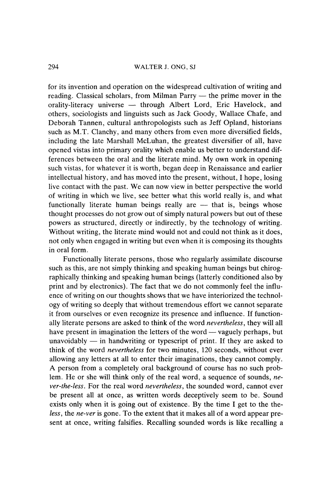for its invention and operation on the widespread cultivation of writing and reading. Classical scholars, from Milman Parry — the prime mover in the orality-literacy universe — through Albert Lord, Eric Havelock, and others, sociologists and linguists such as Jack Goody, Wallace Chafe, and Deborah Tannen, cultural anthropologists such as Jeff Opland, historians such as M.T. Clanchy, and many others from even more diversified fields, including the late Marshall McLuhan, the greatest diversifier of all, have opened vistas into primary orality which enable us better to understand differences between the oral and the literate mind. My own work in opening such vistas, for whatever it is worth, began deep in Renaissance and earlier intellectual history, and has moved into the present, without, I hope, losing live contact with the past. We can now view in better perspective the world of writing in which we live, see better what this world really is, and what functionally literate human beings really are — that is, beings whose thought processes do not grow out of simply natural powers but out of these powers as structured, directly or indirectly, by the technology of writing. Without writing, the literate mind would not and could not think as it does. not only when engaged in writing but even when it is composing its thoughts in oral form.

Functionally literate persons, those who regularly assimilate discourse such as this, are not simply thinking and speaking human beings but chirographically thinking and speaking human beings (latterly conditioned also by print and by electronics). The fact that we do not commonly feel the influence of writing on our thoughts shows that we have interiorized the technology of writing so deeply that without tremendous effort we cannot separate it from ourselves or even recognize its presence and influence. If functionally literate persons are asked to think of the word nevertheless, they will all have present in imagination the letters of the word — vaguely perhaps, but unavoidably  $-$  in handwriting or typescript of print. If they are asked to think of the word nevertheless for two minutes, 120 seconds, without ever allowing any letters at all to enter their imaginations, they cannot comply. A person from a completely oral background of course has no such problem. He or she will think only of the real word, a sequence of sounds, never-the-less. For the real word nevertheless, the sounded word, cannot ever be present all at once, as written words deceptively seem to be. Sound exists only when it is going out of existence. By the time I get to the theless, the ne-ver is gone. To the extent that it makes all of a word appear present at once, writing falsifies. Recalling sounded words is like recalling a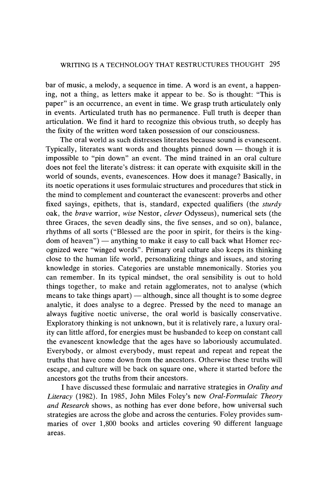bar of music, a melody, a sequence in time. A word is an event, a happening, not a thing, as letters make it appear to be. So is thought: "This is paper" is an occurrence, an event in time. We grasp truth articulately only in events. Articulated truth has no permanence. Full truth is deeper than articulation. We find it hard to recognize this obvious truth, so deeply has the fixity of the written word taken possession of our consciousness.

The oral world as such distresses literates because sound is evanescent. Typically, literates want words and thoughts pinned down — though it is impossible to "pin down" an event. The mind trained in an oral culture does not feel the literate's distress: it can operate with exquisite skill in the world of sounds, events, evanescences. How does it manage? Basically, in its noetic operations it uses formulaic structures and procedures that stick in the mind to complement and counteract the evanescent: proverbs and other fixed sayings, epithets, that is, standard, expected qualifiers (the sturdy oak, the brave warrior, wise Nestor, clever Odysseus), numerical sets (the three Graces, the seven deadly sins, the five senses, and so on), balance, rhythms of all sorts ("Blessed are the poor in spirit, for theirs is the kingdom of heaven") — anything to make it easy to call back what Homer recognized were "winged words". Primary oral culture also keeps its thinking close to the human life world, personalizing things and issues, and storing knowledge in stories. Categories are unstable mnemonically. Stories you can remember. In its typical mindset, the oral sensibility is out to hold things together, to make and retain agglomerates, not to analyse (which means to take things apart) — although, since all thought is to some degree analytic, it does analyse to a degree. Pressed by the need to manage an always fugitive noetic universe, the oral world is basically conservative. Exploratory thinking is not unknown, but it is relatively rare, a luxury orality can little afford, for energies must be husbanded to keep on constant call the evanescent knowledge that the ages have so laboriously accumulated. Everybody, or almost everybody, must repeat and repeat and repeat the truths that have come down from the ancestors. Otherwise these truths will escape, and culture will be back on square one, where it started before the ancestors got the truths from their ancestors.

I have discussed these formulaic and narrative strategies in Orality and Literacy (1982). In 1985, John Miles Foley's new Oral-Formulaic Theory and Research shows, as nothing has ever done before, how universal such strategies are across the globe and across the centuries. Foley provides summaries of over 1,800 books and articles covering 90 different language areas.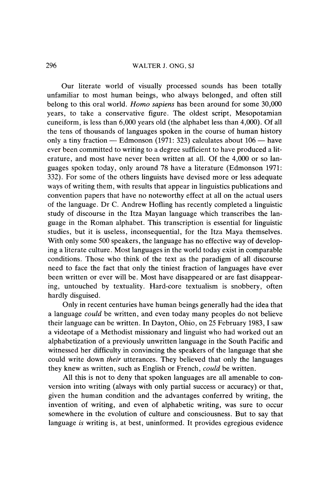Our literate world of visually processed sounds has been totally unfamiliar to most human beings, who always belonged, and often still belong to this oral world. Homo sapiens has been around for some 30,000 years, to take a conservative figure. The oldest script, Mesopotamian cuneiform, is less than 6,000 years old (the alphabet less than 4,000). Of all the tens of thousands of languages spoken in the course of human history only a tiny fraction — Edmonson (1971: 323) calculates about 106 — have ever been committed to writing to a degree sufficient to have produced a literature, and most have never been written at all. Of the 4,000 or so languages spoken today, only around 78 have a literature (Edmonson 1971: 332). For some of the others linguists have devised more or less adequate ways of writing them, with results that appear in linguistics publications and convention papers that have no noteworthy effect at all on the actual users of the language. Dr C. Andrew Hofling has recently completed a linguistic study of discourse in the Itza Mayan language which transcribes the language in the Roman alphabet. This transcription is essential for linguistic studies, but it is useless, inconsequential, for the Itza Maya themselves. With only some 500 speakers, the language has no effective way of developing a literate culture. Most languages in the world today exist in comparable conditions. Those who think of the text as the paradigm of all discourse need to face the fact that only the tiniest fraction of languages have ever been written or ever will be. Most have disappeared or are fast disappearing, untouched by textuality. Hard-core textualism is snobbery, often hardly disguised.

Only in recent centuries have human beings generally had the idea that a language could be written, and even today many peoples do not believe their language can be written. In Dayton, Ohio, on 25 February 1983, I saw a videotape of a Methodist missionary and linguist who had worked out an alphabetization of a previously unwritten language in the South Pacific and witnessed her difficulty in convincing the speakers of the language that she could write down their utterances. They believed that only the languages they knew as written, such as English or French, could be written.

All this is not to deny that spoken languages are all amenable to conversion into writing (always with only partial success or accuracy) or that, given the human condition and the advantages conferred by writing, the invention of writing, and even of alphabetic writing, was sure to occur somewhere in the evolution of culture and consciousness. But to say that language is writing is, at best, uninformed. It provides egregious evidence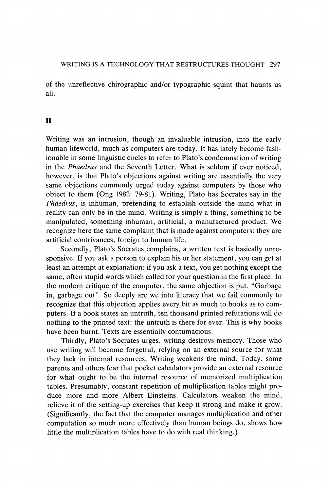of the unreflective chirographic and/or typographic squint that haunts us all.

# il

Writing was an intrusion, though an invaluable intrusion, into the early human lifeworld, much as computers are today. It has lately become fashionable in some linguistic circles to refer to Plato's condemnation of writing in the Phaedrus and the Seventh Letter. What is seldom if ever noticed, however, is that Plato's objections against writing are essentially the very same objections commonly urged today against computers by those who object to them (Ong 1982: 79-81). Writing, Plato has Socrates say in the Phaedrus, is inhuman, pretending to establish outside the mind what in reality can only be in the mind. Writing is simply a thing, something to be manipulated, something inhuman, artificial, a manufactured product. We recognize here the same complaint that is made against computers: they are artificial contrivances, foreign to human life.

Secondly, Plato's Socrates complains, a written text is basically unresponsive. If you ask a person to explain his or her statement, you can get at least an attempt at explanation: if you ask a text, you get nothing except the same, often stupid words which called for your question in the first place. In the modern critique of the computer, the same objection is put, "Garbage in, garbage out". So deeply are we into literacy that we fail commonly to recognize that this objection applies every bit as much to books as to computers. If a book states an untruth, ten thousand printed refutations will do nothing to the printed text: the untruth is there for ever. This is why books have been burnt. Texts are essentially contumacious.

Thirdly, Plato's Socrates urges, writing destroys memory. Those who use writing will become forgetful, relying on an external source for what they lack in internal resources. Writing weakens the mind. Today, some parents and others fear that pocket calculators provide an external resource for what ought to be the internal resource of memorized multiplication tables. Presumably, constant repetition of multiplication tables might produce more and more Albert Einsteins. Calculators weaken the mind, relieve it of the setting-up exercises that keep it strong and make it grow. (Significantly, the fact that the computer manages multiplication and other computation so much more effectively than human beings do, shows how little the multiplication tables have to do with real thinking.)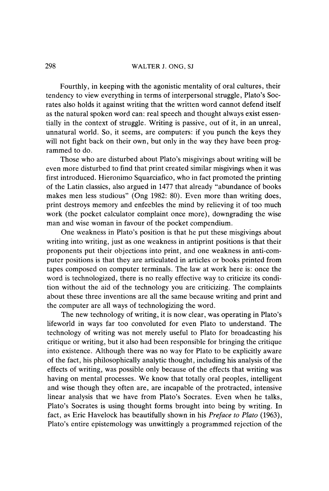Fourthly, in keeping with the agonistic mentality of oral cultures, their tendency to view everything in terms of interpersonal struggle, Plato's Socrates also holds it against writing that the written word cannot defend itself as the natural spoken word can: real speech and thought always exist essentially in the context of struggle. Writing is passive, out of it, in an unreal, unnatural world. So, it seems, are computers: if you punch the keys they will not fight back on their own, but only in the way they have been programmed to do.

Those who are disturbed about Plato's misgivings about writing will be even more disturbed to find that print created similar misgivings when it was first introduced. Hieronimo Squarciafico, who in fact promoted the printing of the Latin classics, also argued in 1477 that already "abundance of books makes men less studious" (Ong 1982: 80). Even more than writing does, print destroys memory and enfeebles the mind by relieving it of too much work (the pocket calculator complaint once more), downgrading the wise man and wise woman in favour of the pocket compendium.

One weakness in Plato's position is that he put these misgivings about writing into writing, just as one weakness in antiprint positions is that their proponents put their objections into print, and one weakness in anti-computer positions is that they are articulated in articles or books printed from tapes composed on computer terminals. The law at work here is: once the word is technologized, there is no really effective way to criticize its condition without the aid of the technology you are criticizing. The complaints about these three inventions are all the same because writing and print and the computer are all ways of technologizing the word.

The new technology of writing, it is now clear, was operating in Plato's lifeworld in ways far too convoluted for even Plato to understand. The technology of writing was not merely useful to Plato for broadcasting his critique or writing, but it also had been responsible for bringing the critique into existence. Although there was no way for Plato to be explicitly aware of the fact, his philosophically analytic thought, including his analysis of the effects of writing, was possible only because of the effects that writing was having on mental processes. We know that totally oral peoples, intelligent and wise though they often are, are incapable of the protracted, intensive linear analysis that we have from Plato's Socrates. Even when he talks, Plato's Socrates is using thought forms brought into being by writing. In fact, as Eric Havelock has beautifully shown in his Preface to Plato (1963), Plato's entire epistemology was unwittingly a programmed rejection of the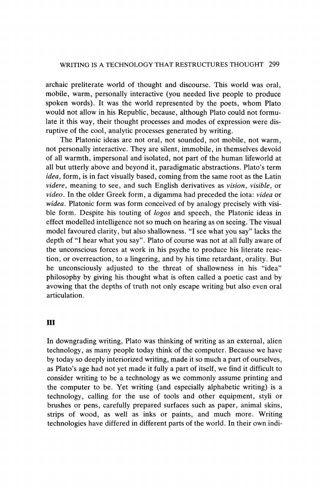archaic preliterate world of thought and discourse. This world was oral, mobile, warm, personally interactive (you needed live people to produce spoken words). It was the world represented by the poets, whom Plato would not allow in his Republic, because, although Plato could not formulate it this way, their thought processes and modes of expression were disruptive of the cool, analytic processes generated by writing.

The Platonic ideas are not oral, not sounded, not mobile, not warm, not personally interactive. They are silent, immobile, in themselves devoid of all warmth, impersonal and isolated, not part of the human lifeworld at all but utterly above and beyond it, paradigmatic abstractions. Plato's term idea, form, is in fact visually based, coming from the same root as the Latin videre, meaning to see, and such English derivatives as vision, visible, or video. In the older Greek form, a digamma had preceded the iota: videa or widea. Platonic form was form conceived of by analogy precisely with visible form. Despite his touting of *logos* and speech, the Platonic ideas in effect modelled intelligence not so much on hearing as on seeing. The visual model favoured clarity, but also shallowness. "I see what you say" lacks the depth of "I hear what you say". Plato of course was not at all fully aware of the unconscious forces at work in his psyche to produce his literate reaction, or overreaction, to a lingering, and by his time retardant, orality. But he unconsciously adjusted to the threat of shallowness in his "idea" philosophy by giving his thought what is often called a poetic cast and by avowing that the depths of truth not only escape writing but also even oral articulation.

# iil

In downgrading writing, Plato was thinking of writing as an external, alien technology, as many people today think of the computer. Because we have by today so deeply interiorized writing, made it so much a part of ourselves, as Plato's age had not yet made it fully a part of itself, we find it difficult to consider writing to be a technology as we commonly assume printing and the computer to be. Yet writing (and especially alphabetic writing) is a technology, calling for the use of tools and other equipment, styli or brushes or pens, carefully prepared surfaces such as paper, animal skins, strips of wood, as well as inks or paints, and much more. Writing technologies have differed in different parts of the world. In their own indi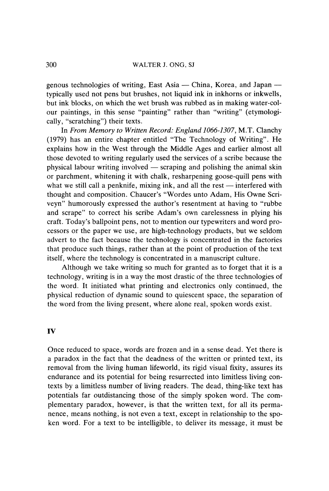genous technologies of writing, East Asia — China, Korea, and Japan typically used not pens but brushes, not liquid ink in inkhorns or inkwells, but ink blocks, on which the wet brush was rubbed as in making water-colour paintings, in this sense "painting" rather than "writing" (etymologically, "scratching") their texts.

In From Memory to Written Record: England 1066-1307, M.T. Clanchy (1979) has an entire chapter entitled "The Technology of Writing". He explains how in the West through the Middle Ages and earlier almost all those devoted to writing regularly used the services of a scribe because the physical labour writing involved — scraping and polishing the animal skin or parchment, whitening it with chalk, resharpening goose-quill pens with what we still call a penknife, mixing ink, and all the rest — interfered with thought and composition. Chaucer's "Wordes unto Adam, His Owne Scriveyn" humorously expressed the author's resentment at having to "rubbe and scrape" to correct his scribe Adam's own carelessness in plying his craft. Today's ballpoint pens, not to mention our typewriters and word processors or the paper we use, are high-technology products, but we seldom advert to the fact because the technology is concentrated in the factories that produce such things, rather than at the point of production of the text itself, where the technology is concentrated in a manuscript culture.

Although we take writing so much for granted as to forget that it is a technology, writing is in a way the most drastic of the three technologies of the word. It initiated what printing and electronics only continued, the physical reduction of dynamic sound to quiescent space, the separation of the word from the living present, where alone real, spoken words exist.

#### IV

Once reduced to space, words are frozen and in a sense dead. Yet there is a paradox in the fact that the deadness of the written or printed text, its removal from the living human lifeworld, its rigid visual fixity, assures its endurance and its potential for being resurrected into limitless living contexts by a limitless number of living readers. The dead, thing-like text has potentials far outdistancing those of the simply spoken word. The complementary paradox, however, is that the written text, for all its permanence, means nothing, is not even a text, except in relationship to the spoken word. For a text to be intelligible, to deliver its message, it must be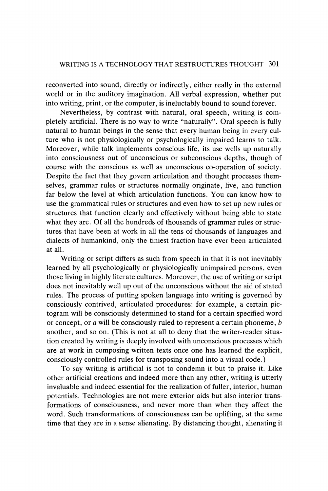reconverted into sound, directly or indirectly, either really in the external world or in the auditory imagination. All verbal expression, whether put into writing, print, or the computer, is ineluctably bound to sound forever.

Nevertheless, by contrast with natural, oral speech, writing is completely artificial. There is no way to write "naturally". Oral speech is fully natural to human beings in the sense that every human being in every culture who is not physiologically or psychologically impaired learns to talk. Moreover, while talk implements conscious life, its use wells up naturally into consciousness out of unconscious or subconscious depths, though of course with the conscious as well as unconscious co-operation of society. Despite the fact that they govern articulation and thought processes themselves, grammar rules or structures normally originate, live, and function far below the level at which articulation functions. You can know how to use the grammatical rules or structures and even how to set up new rules or structures that function clearly and effectively without being able to state what they are. Of all the hundreds of thousands of grammar rules or structures that have been at work in all the tens of thousands of languages and dialects of humankind, only the tiniest fraction have ever been articulated at all.

Writing or script differs as such from speech in that it is not inevitably learned by all psychologically or physiologically unimpaired persons, even those living in highly literate cultures. Moreover, the use of writing or script does not inevitably well up out of the unconscious without the aid of stated rules. The process of putting spoken language into writing is governed by consciously contrived, articulated procedures: for example, a certain pictogram will be consciously determined to stand for a certain specified word or concept, or  $a$  will be consciously ruled to represent a certain phoneme,  $b$ another, and so on. (This is not at all to deny that the writer-reader situation created by writing is deeply involved with unconscious processes which are at work in composing written texts once one has learned the explicit, consciously controlled rules for transposing sound into a visual code.)

To say writing is artificial is not to condemn it but to praise it. Like other artificial creations and indeed more than any other, writing is utterly invaluable and indeed essential for the realization of fuller, interior, human potentials. Technologies are not mere exterior aids but also interior transformations of consciousness, and never more than when they affect the word. Such transformations of consciousness can be uplifting, at the same time that they are in a sense alienating. By distancing thought, alienating it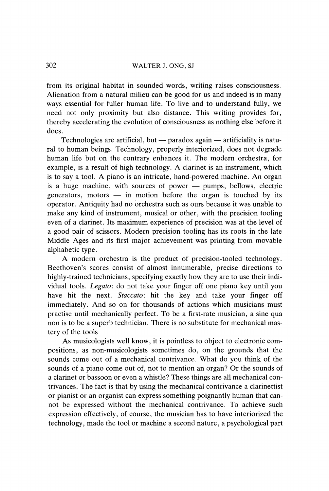from its original habitat in sounded words, writing raises consciousness. Alienation from a natural milieu can be good for us and indeed is in many ways essential for fuller human life. To live and to understand fully, we need not only proximity but also distance. This writing provides for, thereby accelerating the evolution of consciousness as nothing else before it does.

Technologies are artificial, but — paradox again — artificiality is natural to human beings. Technology, properly interiorized, does not degrade human life but on the contrary enhances it. The modern orchestra, for example, is a result of high technology. A clarinet is an instrument, which is to say a tool. A piano is an intricate, hand-powered machine. An organ is a huge machine, with sources of power — pumps, bellows, electric generators, motors  $-$  in motion before the organ is touched by its operator. Antiquity had no orchestra such as ours because it was unable to make any kind of instrument, musical or other, with the precision tooling even of a clarinet. Its maximum experience of precision was at the level of a good pair of scissors. Modern precision tooling has its roots in the late Middle Ages and its first major achievement was printing from movable alphabetic type.

A modern orchestra is the product of precision-tooled technology. Beethoven's scores consist of almost innumerable, precise directions to highly-trained technicians, specifying exactly how they are to use their individual tools. Legato: do not take your finger off one piano key until you have hit the next. Staccato: hit the key and take your finger off immediately. And so on for thousands of actions which musicians must practise until mechanically perfect. To be a first-rate musician, a sine qua non is to be a superb technician. There is no substitute for mechanical mastery of the tools

As musicologists well know, it is pointless to object to electronic compositions, as non-musicologists sometimes do, on the grounds that the sounds come out of a mechanical contrivance. What do you think of the sounds of a piano come out of, not to mention an organ? Or the sounds of a clarinet or bassoon or even a whistle? These things are all mechanical contrivances. The fact is that by using the mechanical contrivance a clarinettist or pianist or an organist can express something poignantly human that cannot be expressed without the mechanical contrivance. To achieve such expression effectively, of course, the musician has to have interiorized the technology, made the tool or machine a second nature, a psychological part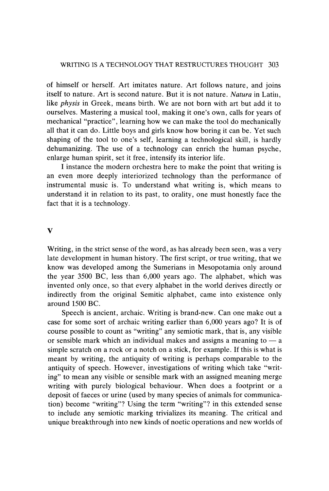of himself or herself. Art imitates nature. Art follows nature, and joins itself to nature. Art is second nature. But it is not nature. Natura in Latin, like physis in Greek, means birth. We are not born with art but add it to ourselves. Mastering a musical tool, making it one's own, calls for years of mechanical "practice", learning how we can make the tool do mechanically all that it can do. Little boys and girls know how boring it can be. Yet such shaping of the tool to one's self, learning a technological skill, is hardly dehumanizing. The use of a technology can enrich the human psyche, enlarge human spirit, set it free, intensify its interior life.

I instance the modern orchestra here to make the point that writing is an even more deeply interiorized technology than the performance of instrumental music is. To understand what writing is, which means to understand it in relation to its past, to orality, one must honestly face the fact that it is a technology.

#### $\mathbf{v}$

Writing, in the strict sense of the word, as has already been seen, was a very late development in human history. The first script, or true writing, that we know was developed among the Sumerians in Mesopotamia only around the year 3500 BC, less than 6,000 years ago. The alphabet, which was invented only once, so that every alphabet in the world derives directly or indirectly from the original Semitic alphabet, came into existence only around 1500 BC.

Speech is ancient, archaic. Writing is brand-new. Can one make out a case for some sort of archaic writing earlier than 6,000 years ago? It is of course possible to count as "writing" any semiotic mark, that is, any visible or sensible mark which an individual makes and assigns a meaning to  $\frac{1}{2}$  a simple scratch on a rock or a notch on a stick, for example. If this is what is meant by writing, the antiquity of writing is perhaps comparable to the antiquity of speech. However, investigations of writing which take "writing" to mean any visible or sensible mark with an assigned meaning merge writing with purely biological behaviour. When does a footprint or a deposit of faeces or urine (used by many species of animals for communication) become "writing"? Using the term "writing"? in this extended sense to include any semiotic marking trivializes its meaning. The critical and unique breakthrough into new kinds of noetic operations and new worlds of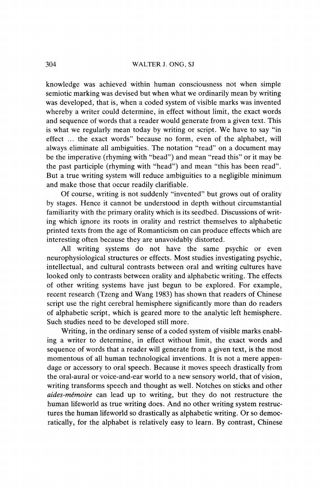knowledge was achieved within human consciousness not when simple semiotic marking was devised but when what we ordinarily mean by writing was developed, that is, when a coded system of visible marks was invented whereby a writer could determine, in effect without limit, the exact words and sequence of words that a reader would generate from a given text. This is what we regularly mean today by writing or script. We have to say "in effect ... the exact words" because no form, even of the alphabet, will always eliminate all ambiguities. The notation "read" on a document may be the imperative (rhyming with "bead") and mean "read this" or it may be the past participle (rhyming with "head") and mean "this has been read". But a true writing system will reduce ambiguities to a negligible minimum and make those that occur readily clarifiable.

Of course, writing is not suddenly "invented" but grows out of orality by stages. Hence it cannot be understood in depth without circumstantial familiarity with the primary orality which is its seedbed. Discussions of writing which ignore its roots in orality and restrict themselves to alphabetic printed texts from the age of Romanticism on can produce effects which are interesting often because they are unavoidably distorted.

All writing systems do not have the same psychic or even neurophysiological structures or effects. Most studies investigating psychic, intellectual, and cultural contrasts between oral and writing cultures have looked only to contrasts between orality and alphabetic writing. The effects of other writing systems have just begun to be explored. For example, recent research (Tzeng and Wang 1983) has shown that readers of Chinese script use the right cerebral hemisphere significantly more than do readers of alphabetic script, which is geared more to the analytic left hemisphere. Such studies need to be developed still more.

Writing, in the ordinary sense of a coded system of visible marks enabling a writer to determine, in effect without limit, the exact words and sequence of words that a reader will generate from a given text, is the most momentous of all human technological inventions. It is not a mere appendage or accessory to oral speech. Because it moves speech drastically from the oral-aural or voice-and-ear world to a new sensory world, that of vision, writing transforms speech and thought as well. Notches on sticks and other aides-mémoire can lead up to writing, but they do not restructure the human lifeworld as true writing does. And no other writing system restructures the human lifeworld so drastically as alphabetic writing. Or so democratically, for the alphabet is relatively easy to learn. By contrast, Chinese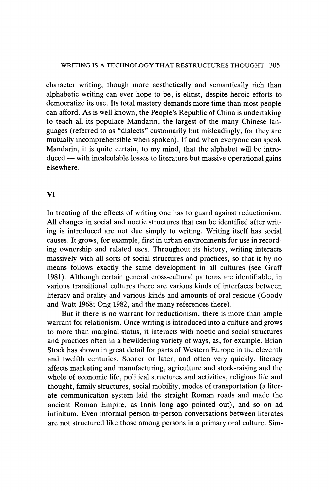# WRITING IS A TECHNOLOGY THAT RESTRUCTURES THOUGHT 305

character writing, though more aesthetically and semantically rich than alphabetic writing can ever hope to be, is elitist, despite heroic efforts to democratize its use. Its total mastery demands more time than most people can afford. As is well known, the People's Republic of China is undertaking to teach all its populace Mandarin, the largest of the many Chinese languages (referred to as "dialects" customarily but misleadingly, for they are mutually incomprehensible when spoken). If and when everyone can speak Mandarin, it is quite certain, to my mind, that the alphabet will be introduced — with incalculable losses to literature but massive operational gains elsewhere.

### VI

In treating of the effects of writing one has to guard against reductionism. All changes in social and noetic structures that can be identified after writing is introduced are not due simply to writing. Writing itself has social causes. It grows, for example, first in urban environments for use in recording ownership and related uses. Throughout its history, writing interacts massively with all sorts of social structures and practices, so that it by no means follows exactly the same development in all cultures (see Graff 1981). Although certain general cross-cultural patterns are identifiable, in various transitional cultures there are various kinds of interfaces between literacy and orality and various kinds and amounts of oral residue (Goody and Watt 1968; Ong 1982, and the many references there).

But if there is no warrant for reductionism, there is more than ample warrant for relationism. Once writing is introduced into a culture and grows to more than marginal status, it interacts with noetic and social structures and practices often in a bewildering variety of ways, as, for example, Brian Stock has shown in great detail for parts of Western Europe in the eleventh and twelfth centuries. Sooner or later, and often very quickly, literacy affects marketing and manufacturing, agriculture and stock-raising and the whole of economic life, political structures and activities, religious life and thought, family structures, social mobility, modes of transportation (a literate communication system laid the straight Roman roads and made the ancient Roman Empire, as Innis long ago pointed out), and so on ad infinitum. Even informal person-to-person conversations between literates are not structured like those among persons in a primary oral culture. Sim-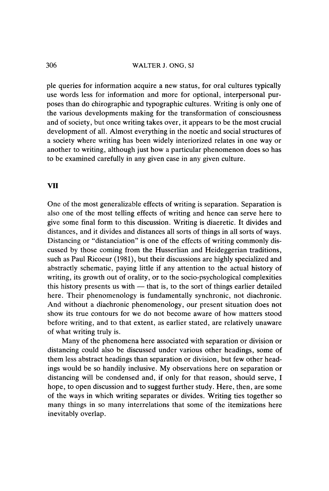ple queries for information acquire a new status, for oral cultures typically use words less for information and more for optional, interpersonal purposes than do chirographic and typographic cultures. Writing is only one of the various developments making for the transformation of consciousness and of society, but once writing takes over, it appears to be the most crucial development of all. Almost everything in the noetic and social structures of a society where writing has been widely interiorized relates in one way or another to writing, although just how a particular phenomenon does so has to be examined carefully in any given case in any given culture.

# Vil

One of the most generalizable effects of writing is separation. Separation is also one of the most telling effects of writing and hence can serve here to give some final form to this discussion. Writing is diaeretic. It divides and distances, and it divides and distances all sorts of things in all sorts of ways. Distancing or "distanciation" is one of the effects of writing commonly discussed by those coming from the Husserlian and Heideggerian traditions, such as Paul Ricoeur (1981), but their discussions are highly specialized and abstractly schematic, paying little if any attention to the actual history of writing, its growth out of orality, or to the socio-psychological complexities this history presents us with — that is, to the sort of things earlier detailed here. Their phenomenology is fundamentally synchronic, not diachronic. And without a diachronic phenomenology, our present situation does not show its true contours for we do not become aware of how matters stood before writing, and to that extent, as earlier stated, are relatively unaware of what writing truly is.

Many of the phenomena here associated with separation or division or distancing could also be discussed under various other headings, some of them less abstract headings than separation or division, but few other headings would be so handily inclusive. My observations here on separation or distancing will be condensed and, if only for that reason, should serve, I hope, to open discussion and to suggest further study. Here, then, are some of the ways in which writing separates or divides. Writing ties together so many things in so many interrelations that some of the itemizations here inevitably overlap.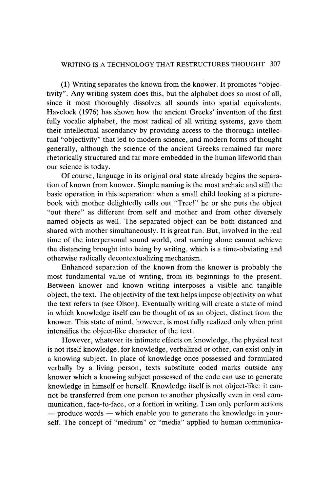# WRITING IS A TECHNOLOGY THAT RESTRUCTURES THOUGHT 307

(1) Writing separates the known from the knower. It promotes "objectivity". Any writing system does this, but the alphabet does so most of all, since it most thoroughly dissolves all sounds into spatial equivalents. Havelock (1976) has shown how the ancient Greeks' invention of the first fully vocalic alphabet, the most radical of all writing systems, gave them their intellectual ascendancy by providing access to the thorough intellectual "objectivity" that led to modern science, and modern forms of thought generally, although the science of the ancient Greeks remained far more rhetorically structured and far more embedded in the human lifeworld than our science is today.

Of course, language in its original oral state already begins the separation of known from knower. Simple naming is the most archaic and still the basic operation in this separation: when a small child looking at a picturebook with mother delightedly calls out "Tree!" he or she puts the object "out there" as different from self and mother and from other diversely named objects as well. The separated object can be both distanced and shared with mother simultaneously. It is great fun. But, involved in the real time of the interpersonal sound world, oral naming alone cannot achieve the distancing brought into being by writing, which is a time-obviating and otherwise radically decontextualizing mechanism.

Enhanced separation of the known from the knower is probably the most fundamental value of writing, from its beginnings to the present. Between knower and known writing interposes a visible and tangible object, the text. The objectivity of the text helps impose objectivity on what the text refers to (see Olson). Eventually writing will create a state of mind in which knowledge itself can be thought of as an object, distinct from the knower. This state of mind, however, is most fully realized only when print intensifies the object-like character of the text.

However, whatever its intimate effects on knowledge, the physical text is not itself knowledge, for knowledge, verbalized or other, can exist only in a knowing subject. In place of knowledge once possessed and formulated verbally by a living person, texts substitute coded marks outside any knower which a knowing subject possessed of the code can use to generate knowledge in himself or herself. Knowledge itself is not object-like: it cannot be transferred from one person to another physically even in oral communication, face-to-face, or a fortiori in writing. I can only perform actions — produce words — which enable you to generate the knowledge in yourself. The concept of "medium" or "media" applied to human communica-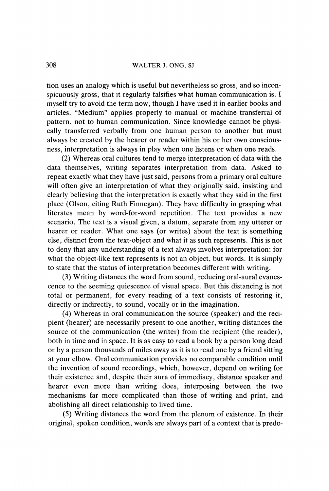tion uses an analogy which is useful but nevertheless so gross, and so inconspicuously gross, that it regularly falsifies what human communication is. I myself try to avoid the term now, though I have used it in earlier books and articles. "Medium" applies properly to manual or machine transferral of pattern, not to human communication. Since knowledge cannot be physically transferred verbally from one human person to another but must always be created by the hearer or reader within his or her own consciousness, interpretation is always in play when one listens or when one reads.

(2) Whereas oral cultures tend to merge interpretation of data with the data themselves, writing separates interpretation from data. Asked to repeat exactly what they have just said, persons from a primary oral culture will often give an interpretation of what they originally said, insisting and clearly believing that the interpretation is exactly what they said in the first place (Olson, citing Ruth Finnegan). They have difficulty in grasping what literates mean by word-for-word repetition. The text provides a new scenario. The text is a visual given, a datum, separate from any utterer or hearer or reader. What one says (or writes) about the text is something else, distinct from the text-object and what it as such represents. This is not to deny that any understanding of a text always involves interpretation: for what the object-like text represents is not an object, but words. It is simply to state that the status of interpretation becomes different with writing.

(3) Writing distances the word from sound, reducing oral-aural evanescence to the seeming quiescence of visual space. But this distancing is not total or permanent, for every reading of a text consists of restoring it, directly or indirectly, to sound, vocally or in the imagination.

(4) Whereas in oral communication the source (speaker) and the recipient (hearer) are necessarily present to one another, writing distances the source of the communication (the writer) from the recipient (the reader), both in time and in space. It is as easy to read a book by a person long dead or by a person thousands of miles away as it is to read one by a friend sitting at your elbow. Oral communication provides no comparable condition until the invention of sound recordings, which, however, depend on writing for their existence and, despite their aura of immediacy, distance speaker and hearer even more than writing does, interposing between the two mechanisms far more complicated than those of writing and print, and abolishing all direct relationship to lived time.

(5) Writing distances the word from the plenum of existence. In their original, spoken condition, words are always part of a context that is predo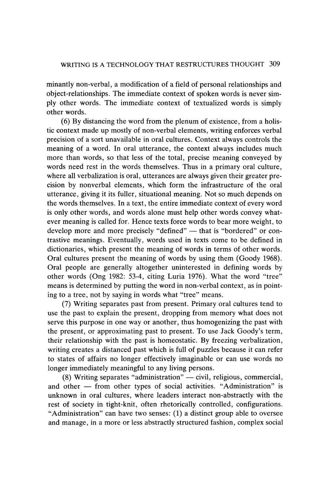minantly non-verbal, a modification of a field of personal relationships and object-relationships. The immediate context of spoken words is never simply other words. The immediate context of textualized words is simply other words.

(6) By distancing the word from the plenum of existence, from a holistic context made up mostly of non-verbal elements, writing enforces verbal precision of a sort unavailable in oral cultures. Context always controls the meaning of a word. In oral utterance, the context always includes much more than words, so that less of the total, precise meaning conveyed by words need rest in the words themselves. Thus in a primary oral culture, where all verbalization is oral, utterances are always given their greater precision by nonverbal elements, which form the infrastructure of the oral utterance, giving it its fuller, situational meaning. Not so much depends on the words themselves. In a text, the entire immediate context of every word is only other words, and words alone must help other words convey whatever meaning is called for. Hence texts force words to bear more weight, to develop more and more precisely "defined" — that is "bordered" or contrastive meanings. Eventually, words used in texts come to be defined in dictionaries, which present the meaning of words in terms of other words. Oral cultures present the meaning of words by using them (Goody 1968). Oral people are generally altogether uninterested in defining words by other words (Ong 1982: 53-4, citing Luria 1976). What the word "tree" means is determined by putting the word in non-verbal context, as in pointing to a tree, not by saying in words what "tree" means.

(7) Writing separates past from present. Primary oral cultures tend to use the past to explain the present, dropping from memory what does not serve this purpose in one way or another, thus homogenizing the past with the present, or approximating past to present. To use Jack Goody's term, their relationship with the past is homeostatic. By freezing verbalization, writing creates a distanced past which is full of puzzles because it can refer to states of affairs no longer effectively imaginable or can use words no longer immediately meaningful to any living persons.

(8) Writing separates "administration" — civil, religious, commercial, and other — from other types of social activities. "Administration" is unknown in oral cultures, where leaders interact non-abstractly with the rest of society in tight-knit, often rhetorically controlled, configurations. "Administration" can have two senses: (1) a distinct group able to oversee and manage, in a more or less abstractly structured fashion, complex social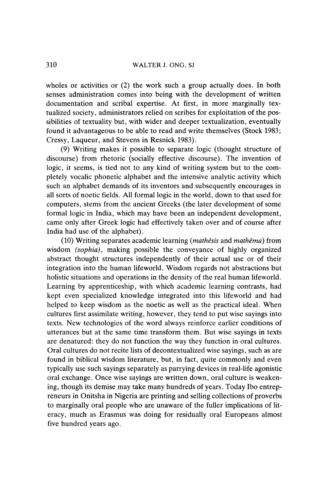wholes or activities or (2) the work such a group actually does. In both senses administration comes into being with the development of written documentation and scribal expertise. At first, in more marginally textualized society, administrators relied on scribes for exploitation of the possibilities of textuality but, with wider and deeper textualization, eventually found it advantageous to be able to read and write themselves (Stock 1983; Cressy, Laqueur, and Stevens in Resnick 1983).

(9) Writing makes it possible to separate logic (thought structure of discourse) from rhetoric (socially effective discourse). The invention of logic, it seems, is tied not to any kind of writing system but to the completely vocalic phonetic alphabet and the intensive analytic activity which such an alphabet demands of its inventors and subsequently encourages in all sorts of noetic fields. All formal logic in the world, down to that used for computers, stems from the ancient Greeks (the later development of some formal logic in India, which may have been an independent development, came only after Greek logic had effectively taken over and of course after India had use of the alphabet).

(10) Writing separates academic learning (mathésis and mathéma) from wisdom (sophia), making possible the conveyance of highly organized abstract thought structures independently of their actual use or of their integration into the human lifeworld. Wisdom regards not abstractions but holistic situations and operations in the density of the real human lifeworld. Learning by apprenticeship, with which academic learning contrasts, had kept even specialized knowledge integrated into this lifeworld and had helped to keep wisdom as the noetic as well as the practical ideal. When cultures first assimilate writing, however, they tend to put wise sayings into texts. New technologies of the word always reinforce earlier conditions of utterances but at the same time transform them. But wise sayings in texts are denatured: they do not function the way they function in oral cultures. Oral cultures do not recite lists of decontextualized wise sayings, such as are found in biblical wisdom literature, but, in fact, quite commonly and even typically use such sayings separately as parrying devices in real-life agonistic oral exchange. Once wise sayings are written down, oral culture is weakening, though its demise may take many hundreds of years. Today Ibo entrepreneurs in Onitsha in Nigeria are printing and selling collections of proverbs to marginally oral people who are unaware of the fuller implications of literacy, much as Erasmus was doing for residually oral Europeans almost five hundred years ago.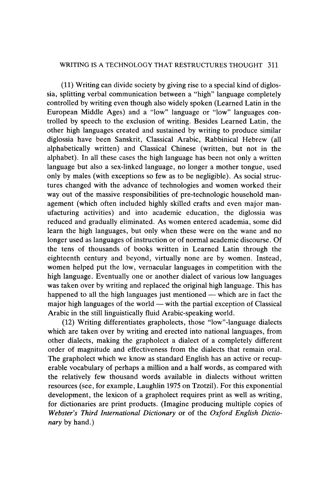#### WRITING IS A TECHNOLOGY THAT RESTRUCTURES THOUGHT 311

(11) Writing can divide society by giving rise to a special kind of diglossia, splitting verbal communication between a "high" language completely controlled by writing even though also widely spoken (Learned Latin in the European Middle Ages) and a "low" language or "low" languages controlled by speech to the exclusion of writing. Besides Learned Latin, the other high languages created and sustained by writing to produce similar diglossia have been Sanskrit, Classical Arabic, Rabbinical Hebrew (all alphabetically written) and Classical Chinese (written, but not in the alphabet). In all these cases the high language has been not only a written language but also a sex-linked language, no longer a mother tongue, used only by males (with exceptions so few as to be negligible). As social structures changed with the advance of technologies and women worked their way out of the massive responsibilities of pre-technologic household management (which often included highly skilled crafts and even major manufacturing activities) and into academic education, the diglossia was reduced and gradually eliminated. As women entered academia, some did learn the high languages, but only when these were on the wane and no longer used as languages of instruction or of normal academic discourse. Of the tens of thousands of books written in Learned Latin through the eighteenth century and beyond, virtually none are by women. Instead, women helped put the low, vernacular languages in competition with the high language. Eventually one or another dialect of various low languages was taken over by writing and replaced the original high language. This has happened to all the high languages just mentioned — which are in fact the major high languages of the world — with the partial exception of Classical Arabic in the still linguistically fluid Arabic-speaking world.

(12) Writing differentiates grapholects, those "low"-language dialects which are taken over by writing and erected into national languages, from other dialects, making the grapholect a dialect of a completely different order of magnitude and effectiveness from the dialects that remain oral. The grapholect which we know as standard English has an active or recuperable vocabulary of perhaps a million and a half words, as compared with the relatively few thousand words available in dialects without written resources (see, for example, Laughlin 1975 on Tzotzil). For this exponential development, the lexicon of a grapholect requires print as well as writing, for dictionaries are print products. (Imagine producing multiple copies of Webster's Third International Dictionary or of the Oxford English Dictionary by hand.)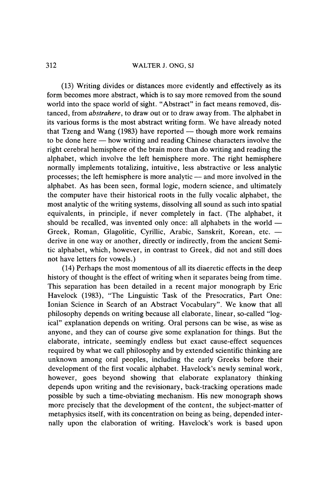(13) Writing divides or distances more evidently and effectively as its form becomes more abstract, which is to say more removed from the sound world into the space world of sight. "Abstract" in fact means removed, distanced, from abstrahere, to draw out or to draw away from. The alphabet in its various forms is the most abstract writing form. We have already noted that Tzeng and Wang (1983) have reported — though more work remains to be done here — how writing and reading Chinese characters involve the right cerebral hemisphere of the brain more than do writing and reading the alphabet, which involve the left hemisphere more. The right hemisphere normally implements totalizing, intuitive, less abstractive or less analytic processes; the left hemisphere is more analytic — and more involved in the alphabet. As has been seen, formal logic, modern science, and ultimately the computer have their historical roots in the fully vocalic alphabet, the most analytic of the writing systems, dissolving all sound as such into spatial equivalents, in principle, if never completely in fact. (The alphabet, it should be recalled, was invented only once: all alphabets in the world — Greek, Roman, Glagolitic, Cyrillic, Arabic, Sanskrit, Korean, etc. derive in one way or another, directly or indirectly, from the ancient Semitic alphabet, which, however, in contrast to Greek, did not and still does not have letters for vowels.)

(14) Perhaps the most momentous of all its diaeretic effects in the deep history of thought is the effect of writing when it separates being from time. This separation has been detailed in a recent major monograph by Eric Havelock (1983), "The Linguistic Task of the Presocratics, Part One: Ionian Science in Search of an Abstract Vocabulary". We know that all philosophy depends on writing because all elaborate, linear, so-called "logical" explanation depends on writing. Oral persons can be wise, as wise as anyone, and they can of course give some explanation for things. But the elaborate, intricate, seemingly endless but exact cause-effect sequences required by what we call philosophy and by extended scientific thinking are unknown among oral peoples, including the early Greeks before their development of the first vocalic alphabet. Havelock's newly seminal work, however, goes beyond showing that elaborate explanatory thinking depends upon writing and the revisionary, back-tracking operations made possible by such a time-obviating mechanism. His new monograph shows more precisely that the development of the content, the subject-matter of metaphysics itself, with its concentration on being as being, depended internally upon the elaboration of writing. Havelock's work is based upon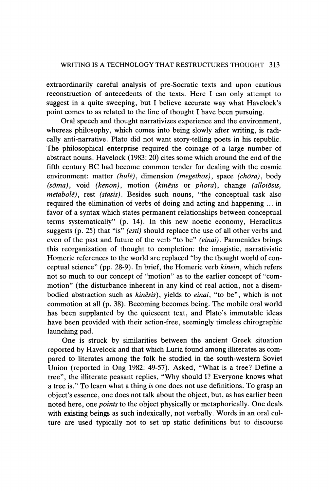extraordinarily careful analysis of pre-Socratic texts and upon cautious reconstruction of antecedents of the texts. Here I can only attempt to suggest in a quite sweeping, but I believe accurate way what Havelock's point comes to as related to the line of thought I have been pursuing.

Oral speech and thought narrativizes experience and the environment, whereas philosophy, which comes into being slowly after writing, is radically anti-narrative. Plato did not want story-telling poets in his republic. The philosophical enterprise required the coinage of a large number of abstract nouns. Havelock (1983: 20) cites some which around the end of the fifth century BC had become common tender for dealing with the cosmic environment: matter  $(hul\tilde{e})$ , dimension (megethos), space (chora), body (sōma), void (kenon), motion (kinēsis or phora), change (alloiōsis, metabolē), rest (stasis). Besides such nouns, "the conceptual task also required the elimination of verbs of doing and acting and happening ... in favor of a syntax which states permanent relationships between conceptual terms systematically" (p. 14). In this new noetic economy, Heraclitus suggests (p. 25) that "is" (esti) should replace the use of all other verbs and even of the past and future of the verb "to be" (*einai*). Parmenides brings this reorganization of thought to completion: the imagistic, narrativistic Homeric references to the world are replaced "by the thought world of conceptual science" (pp. 28-9). In brief, the Homeric verb kinein, which refers not so much to our concept of "motion" as to the earlier concept of "commotion" (the disturbance inherent in any kind of real action, not a disembodied abstraction such as kinēsis), yields to einai, "to be", which is not commotion at all (p. 38). Becoming becomes being. The mobile oral world has been supplanted by the quiescent text, and Plato's immutable ideas have been provided with their action-free, seemingly timeless chirographic launching pad.

One is struck by similarities between the ancient Greek situation reported by Havelock and that which Luria found among illiterates as compared to literates among the folk he studied in the south-western Soviet Union (reported in Ong 1982: 49-57). Asked, "What is a tree? Define a tree", the illiterate peasant replies, "Why should I? Everyone knows what a tree is." To learn what a thing is one does not use definitions. To grasp an object's essence, one does not talk about the object, but, as has earlier been noted here, one points to the object physically or metaphorically. One deals with existing beings as such indexically, not verbally. Words in an oral culture are used typically not to set up static definitions but to discourse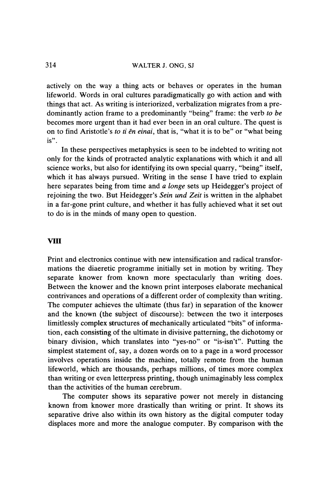actively on the way a thing acts or behaves or operates in the human lifeworld. Words in oral cultures paradigmatically go with action and with things that act. As writing is interiorized, verbalization migrates from a predominantly action frame to a predominantly "being" frame: the verb to be becomes more urgent than it had ever been in an oral culture. The quest is on to find Aristotle's to ti en einai, that is, "what it is to be" or "what being is".

In these perspectives metaphysics is seen to be indebted to writing not only for the kinds of protracted analytic explanations with which it and all science works, but also for identifying its own special quarry, "being" itself, which it has always pursued. Writing in the sense I have tried to explain here separates being from time and a longe sets up Heidegger's project of rejoining the two. But Heidegger's Sein und Zeit is written in the alphabet in a far-gone print culture, and whether it has fully achieved what it set out to do is in the minds of many open to question.

# Vill

Print and electronics continue with new intensification and radical transformations the diaeretic programme initially set in motion by writing. They separate knower from known more spectacularly than writing does. Between the knower and the known print interposes elaborate mechanical contrivances and operations of a different order of complexity than writing. The computer achieves the ultimate (thus far) in separation of the knower and the known (the subject of discourse): between the two it interposes limitlessly complex structures of mechanically articulated "bits" of information, each consisting of the ultimate in divisive patterning, the dichotomy or binary division, which translates into "yes-no" or "is-isn't". Putting the simplest statement of, say, a dozen words on to a page in a word processor involves operations inside the machine, totally remote from the human lifeworld, which are thousands, perhaps millions, of times more complex than writing or even letterpress printing, though unimaginably less complex than the activities of the human cerebrum.

The computer shows its separative power not merely in distancing known from knower more drastically than writing or print. It shows its separative drive also within its own history as the digital computer today displaces more and more the analogue computer. By comparison with the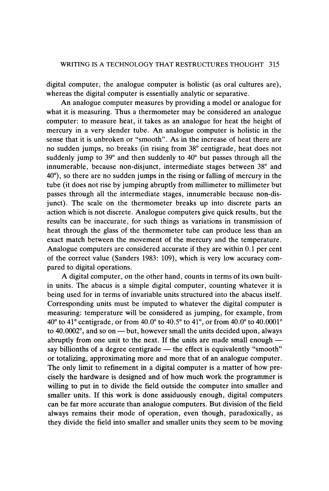digital computer, the analogue computer is holistic (as oral cultures are), whereas the digital computer is essentially analytic or separative.

An analogue computer measures by providing a model or analogue for what it is measuring. Thus a thermometer may be considered an analogue computer: to measure heat, it takes as an analogue for heat the height of mercury in a very slender tube. An analogue computer is holistic in the sense that it is unbroken or "smooth". As in the increase of heat there are no sudden jumps, no breaks (in rising from 38° centigrade, heat does not suddenly jump to 39° and then suddenly to 40° but passes through all the innumerable, because non-disjunct, intermediate stages between 38° and 40°), so there are no sudden jumps in the rising or falling of mercury in the tube (it does not rise by jumping abruptly from millimeter to millimeter but passes through all the intermediate stages, innumerable because non-disjunct). The scale on the thermometer breaks up into discrete parts an action which is not discrete. Analogue computers give quick results, but the results can be inaccurate, for such things as variations in transmission of heat through the glass of the thermometer tube can produce less than an exact match between the movement of the mercury and the temperature. Analogue computers are considered accurate if they are within 0.1 per cent of the correct value (Sanders 1983: 109), which is very low accuracy compared to digital operations.

A digital computer, on the other hand, counts in terms of its own builtin units. The abacus is a simple digital computer, counting whatever it is being used for in terms of invariable units structured into the abacus itself. Corresponding units must be imputed to whatever the digital computer is measuring: temperature will be considered as jumping, for example, from 40° to 41° centigrade, or from 40.0° to 40.5° to 41°, or from 40.0° to 40.0001° to 40.0002°, and so on — but, however small the units decided upon, always abruptly from one unit to the next. If the units are made small enough say billionths of a degree centigrade — the effect is equivalently "smooth" or totalizing, approximating more and more that of an analogue computer. The only limit to refinement in a digital computer is a matter of how precisely the hardware is designed and of how much work the programmer is willing to put in to divide the field outside the computer into smaller and smaller units. If this work is done assiduously enough, digital computers can be far more accurate than analogue computers. But division of the field always remains their mode of operation, even though, paradoxically, as they divide the field into smaller and smaller units they seem to be moving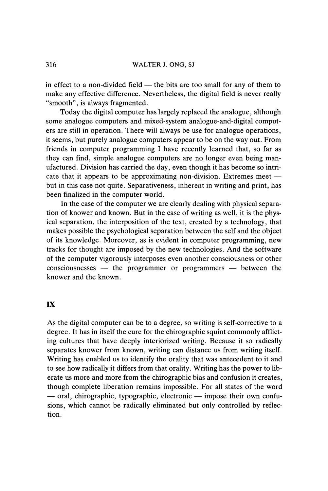in effect to a non-divided field — the bits are too small for any of them to make any effective difference. Nevertheless, the digital field is never really "smooth", is always fragmented.

Today the digital computer has largely replaced the analogue, although some analogue computers and mixed-system analogue-and-digital computers are still in operation. There will always be use for analogue operations, it seems, but purely analogue computers appear to be on the way out. From friends in computer programming I have recently learned that, so far as they can find, simple analogue computers are no longer even being manufactured. Division has carried the day, even though it has become so intricate that it appears to be approximating non-division. Extremes meet but in this case not quite. Separativeness, inherent in writing and print, has been finalized in the computer world.

In the case of the computer we are clearly dealing with physical separation of knower and known. But in the case of writing as well, it is the physical separation, the interposition of the text, created by a technology, that makes possible the psychological separation between the self and the object of its knowledge. Moreover, as is evident in computer programming, new tracks for thought are imposed by the new technologies. And the software of the computer vigorously interposes even another consciousness or other consciousnesses — the programmer or programmers — between the knower and the known.

# IX

As the digital computer can be to a degree, so writing is self-corrective to a degree. It has in itself the cure for the chirographic squint commonly afflicting cultures that have deeply interiorized writing. Because it so radically separates knower from known, writing can distance us from writing itself. Writing has enabled us to identify the orality that was antecedent to it and to see how radically it differs from that orality. Writing has the power to liberate us more and more from the chirographic bias and confusion it creates, though complete liberation remains impossible. For all states of the word — oral, chirographic, typographic, electronic — impose their own confusions, which cannot be radically eliminated but only controlled by reflection.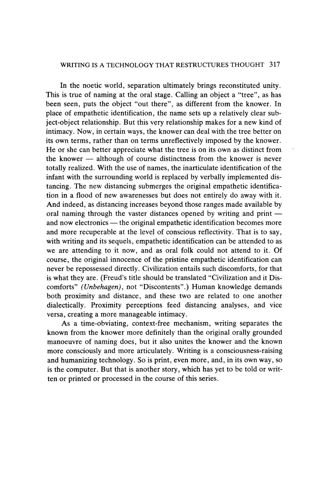#### WRITING IS A TECHNOLOGY THAT RESTRUCTURES THOUGHT 317

In the noetic world, separation ultimately brings reconstituted unity. This is true of naming at the oral stage. Calling an object a "tree", as has been seen, puts the object "out there", as different from the knower. In place of empathetic identification, the name sets up a relatively clear subject-object relationship. But this very relationship makes for a new kind of intimacy. Now, in certain ways, the knower can deal with the tree better on its own terms, rather than on terms unreflectively imposed by the knower. He or she can better appreciate what the tree is on its own as distinct from the knower — although of course distinctness from the knower is never totally realized. With the use of names, the inarticulate identification of the infant with the surrounding world is replaced by verbally implemented distancing. The new distancing submerges the original empathetic identification in a flood of new awarenesses but does not entirely do away with it. And indeed, as distancing increases beyond those ranges made available by oral naming through the vaster distances opened by writing and print and now electronics — the original empathetic identification becomes more and more recuperable at the level of conscious reflectivity. That is to say, with writing and its sequels, empathetic identification can be attended to as we are attending to it now, and as oral folk could not attend to it. Of course, the original innocence of the pristine empathetic identification can never be repossessed directly. Civilization entails such discomforts, for that is what they are. (Freud's title should be translated "Civilization and it Discomforts" (Unbehagen), not "Discontents".) Human knowledge demands both proximity and distance, and these two are related to one another dialectically. Proximity perceptions feed distancing analyses, and vice versa, creating a more manageable intimacy.

As a time-obviating, context-free mechanism, writing separates the known from the knower more definitely than the original orally grounded manoeuvre of naming does, but it also unites the knower and the known more consciously and more articulately. Writing is a consciousness-raising and humanizing technology. So is print, even more, and, in its own way, so is the computer. But that is another story, which has yet to be told or written or printed or processed in the course of this series.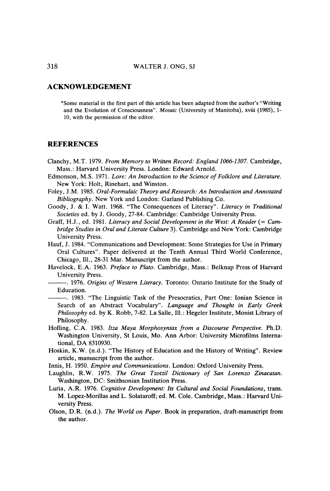#### ACKNOWLEDGEMENT

\*Some material in the first part of this article has been adapted from the author's "Writing and the Evolution of Consciousness". Mosaic (University of Manitoba), xviii (1985), 1- 10, with the permission of the editor.

# **REFERENCES**

- Clanchy, M.T. 1979. From Memory to Written Record: England 1066-1307. Cambridge, Mass.: Harvard University Press. London: Edward Arnold.
- Edmonson, M.S. 1971. Lore: An Introduction to the Science of Folklore and Literature. New York: Holt, Rinehart, and Winston.
- Foley, J.M. 1985. Oral-Formulaic Theory and Research: An Introduction and Annotated Bibliography. New York and London: Garland Publishing Co.
- Goody, J. & I. Watt. 1968. "The Consequences of Literacy". Literacy in Traditional Societies ed. by J. Goody, 27-84. Cambridge: Cambridge University Press.
- Graff, H.J., ed. 1981. Literacy and Social Development in the West: A Reader (=  $Cam$ bridge Studies in Oral and Literate Culture 3). Cambridge and New York: Cambridge University Press.
- Hauf, J. 1984. "Communications and Development: Some Strategies for Use in Primary Oral Cultures". Paper delivered at the Tenth Annual Third World Conference, Chicago, Ill., 28-31 Mar. Manuscript from the author.
- Havelock, E.A. 1963. *Preface to Plato*. Cambridge, Mass.: Belknap Press of Harvard<br>University Press.<br>1976. *Origins of Western Literacy*. Toronto: Ontario Institute for the Study of<br>Education.<br>1983. "The Linguistic Task o University Press.
	- . 1976. Origins of Western Literacy. Toronto: Ontario Institute for the Study of Education.
- . 1983. "The Linguistic Task of the Presocratics, Part One: Ionian Science in Search of an Abstract Vocabulary". Language and Thought in Early Greek Philosophy ed. by K. Robb, 7-82. La Salle, Ill.: Hegeler Institute, Monist Library of Philosophy.
- Hofling, C.A. 1983. Itza Maya Morphosyntax from a Discourse Perspective. Ph.D. Washington University, St Louis, Mo. Ann Arbor: University Microfilms International, DA 8310930.
- Hoskin, K.W. (n.d.). "The History of Education and the History of Writing". Review article, manuscript from the author.
- Innis, H. 1950. Empire and Communications. London: Oxford University Press.
- Laughlin, R.W. 1975. The Great Tzotzil Dictionary of San Lorenzo Zinacatan. Washington, DC: Smithsonian Institution Press.
- Luria, A.R. 1976. Cognitive Development: Its Cultural and Social Foundations, trans. M. Lopez-Morillas and L. Solataroff; ed. M. Cole. Cambridge, Mass.: Harvard University Press.
- Olson, D.R. (n.d.). The World on Paper. Book in preparation, draft-manuscript from the author.